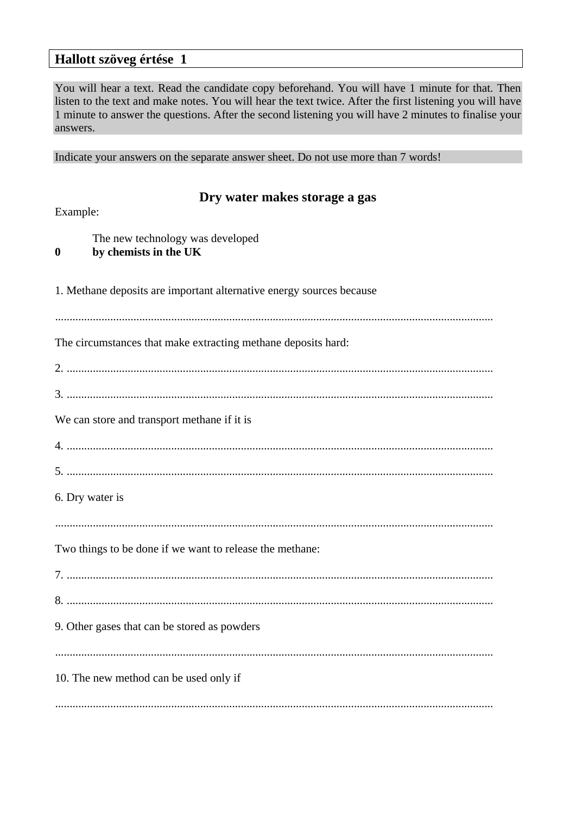## **Hallott szöveg értése 1**

You will hear a text. Read the candidate copy beforehand. You will have 1 minute for that. Then listen to the text and make notes. You will hear the text twice. After the first listening you will have 1 minute to answer the questions. After the second listening you will have 2 minutes to finalise your answers.

Indicate your answers on the separate answer sheet. Do not use more than 7 words!

| Dry water makes storage a gas<br>Example:                                     |  |  |  |
|-------------------------------------------------------------------------------|--|--|--|
| The new technology was developed<br>by chemists in the UK<br>$\boldsymbol{0}$ |  |  |  |
| 1. Methane deposits are important alternative energy sources because          |  |  |  |
| The circumstances that make extracting methane deposits hard:                 |  |  |  |
|                                                                               |  |  |  |
| We can store and transport methane if it is                                   |  |  |  |
|                                                                               |  |  |  |
| 6. Dry water is                                                               |  |  |  |
| Two things to be done if we want to release the methane:                      |  |  |  |
|                                                                               |  |  |  |
|                                                                               |  |  |  |
| 9. Other gases that can be stored as powders                                  |  |  |  |
| 10. The new method can be used only if                                        |  |  |  |
|                                                                               |  |  |  |